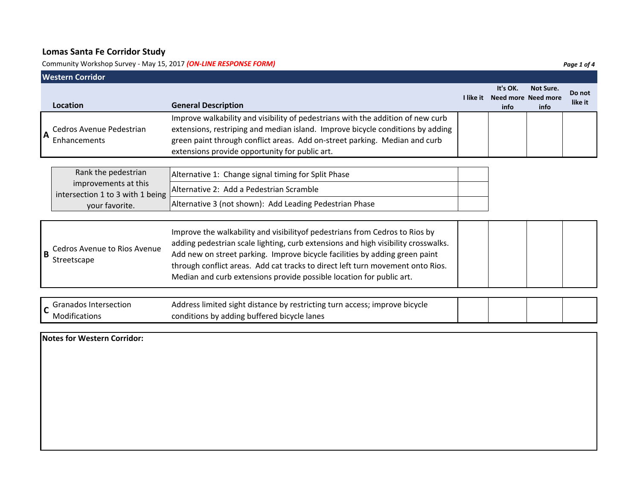Community Workshop Survey ‐ May 15, 2017 *(ON‐LINE RESPONSE FORM) Page 1 of 4*

| It's OK.<br>Not Sure.<br>I like it<br>Need more Need more<br><b>General Description</b><br>Location<br>info<br>info<br>Improve walkability and visibility of pedestrians with the addition of new curb<br>extensions, restriping and median island. Improve bicycle conditions by adding<br>Cedros Avenue Pedestrian<br>$\overline{\mathsf{A}}$<br>green paint through conflict areas. Add on-street parking. Median and curb<br>Enhancements<br>extensions provide opportunity for public art.<br>Rank the pedestrian<br>Alternative 1: Change signal timing for Split Phase<br>improvements at this<br>Alternative 2: Add a Pedestrian Scramble<br>intersection 1 to 3 with 1 being<br>Alternative 3 (not shown): Add Leading Pedestrian Phase<br>your favorite.<br>Improve the walkability and visibility of pedestrians from Cedros to Rios by<br>adding pedestrian scale lighting, curb extensions and high visibility crosswalks.<br>Cedros Avenue to Rios Avenue<br>Add new on street parking. Improve bicycle facilities by adding green paint | Western Corridor |                   |  |  |  |  |  |  |
|--------------------------------------------------------------------------------------------------------------------------------------------------------------------------------------------------------------------------------------------------------------------------------------------------------------------------------------------------------------------------------------------------------------------------------------------------------------------------------------------------------------------------------------------------------------------------------------------------------------------------------------------------------------------------------------------------------------------------------------------------------------------------------------------------------------------------------------------------------------------------------------------------------------------------------------------------------------------------------------------------------------------------------------------------------|------------------|-------------------|--|--|--|--|--|--|
|                                                                                                                                                                                                                                                                                                                                                                                                                                                                                                                                                                                                                                                                                                                                                                                                                                                                                                                                                                                                                                                        |                  | Do not<br>like it |  |  |  |  |  |  |
|                                                                                                                                                                                                                                                                                                                                                                                                                                                                                                                                                                                                                                                                                                                                                                                                                                                                                                                                                                                                                                                        |                  |                   |  |  |  |  |  |  |
|                                                                                                                                                                                                                                                                                                                                                                                                                                                                                                                                                                                                                                                                                                                                                                                                                                                                                                                                                                                                                                                        |                  |                   |  |  |  |  |  |  |
| Streetscape<br>through conflict areas. Add cat tracks to direct left turn movement onto Rios.<br>Median and curb extensions provide possible location for public art.                                                                                                                                                                                                                                                                                                                                                                                                                                                                                                                                                                                                                                                                                                                                                                                                                                                                                  | B                |                   |  |  |  |  |  |  |
|                                                                                                                                                                                                                                                                                                                                                                                                                                                                                                                                                                                                                                                                                                                                                                                                                                                                                                                                                                                                                                                        |                  |                   |  |  |  |  |  |  |

| Granados Intersection | Address limited sight distance by restricting turn access; improve bicycle |  |  |
|-----------------------|----------------------------------------------------------------------------|--|--|
| <b>Modifications</b>  | conditions by adding buffered bicycle lanes                                |  |  |

**Notes for Western Corridor:**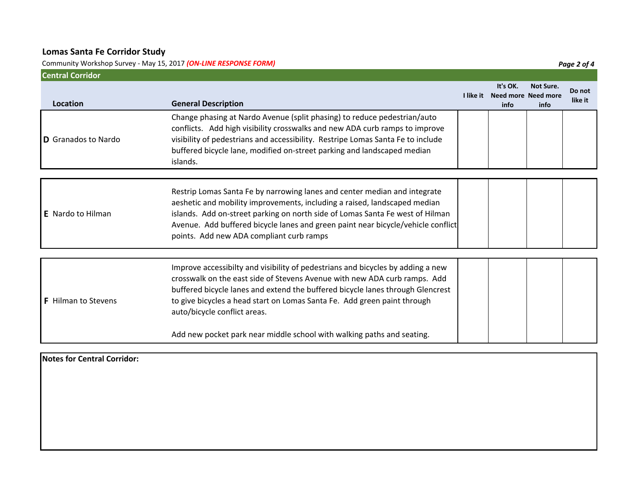Community Workshop Survey ‐ May 15, 2017 *(ON‐LINE RESPONSE FORM) Page 2 of 4*

| <b>Central Corridor</b>    |                                                                                                                                                                                                                                                                                                                                                                                                                                      |  |                                                   |                          |                   |  |  |
|----------------------------|--------------------------------------------------------------------------------------------------------------------------------------------------------------------------------------------------------------------------------------------------------------------------------------------------------------------------------------------------------------------------------------------------------------------------------------|--|---------------------------------------------------|--------------------------|-------------------|--|--|
| Location                   | <b>General Description</b>                                                                                                                                                                                                                                                                                                                                                                                                           |  | It's OK.<br>I like it Need more Need more<br>info | <b>Not Sure.</b><br>info | Do not<br>like it |  |  |
| D Granados to Nardo        | Change phasing at Nardo Avenue (split phasing) to reduce pedestrian/auto<br>conflicts. Add high visibility crosswalks and new ADA curb ramps to improve<br>visibility of pedestrians and accessibility. Restripe Lomas Santa Fe to include<br>buffered bicycle lane, modified on-street parking and landscaped median<br>islands.                                                                                                    |  |                                                   |                          |                   |  |  |
|                            |                                                                                                                                                                                                                                                                                                                                                                                                                                      |  |                                                   |                          |                   |  |  |
| <b>E</b> Nardo to Hilman   | Restrip Lomas Santa Fe by narrowing lanes and center median and integrate<br>aeshetic and mobility improvements, including a raised, landscaped median<br>islands. Add on-street parking on north side of Lomas Santa Fe west of Hilman<br>Avenue. Add buffered bicycle lanes and green paint near bicycle/vehicle conflict<br>points. Add new ADA compliant curb ramps                                                              |  |                                                   |                          |                   |  |  |
| <b>F</b> Hilman to Stevens | Improve accessibilty and visibility of pedestrians and bicycles by adding a new<br>crosswalk on the east side of Stevens Avenue with new ADA curb ramps. Add<br>buffered bicycle lanes and extend the buffered bicycle lanes through Glencrest<br>to give bicycles a head start on Lomas Santa Fe. Add green paint through<br>auto/bicycle conflict areas.<br>Add new pocket park near middle school with walking paths and seating. |  |                                                   |                          |                   |  |  |

**Notes for Central Corridor:**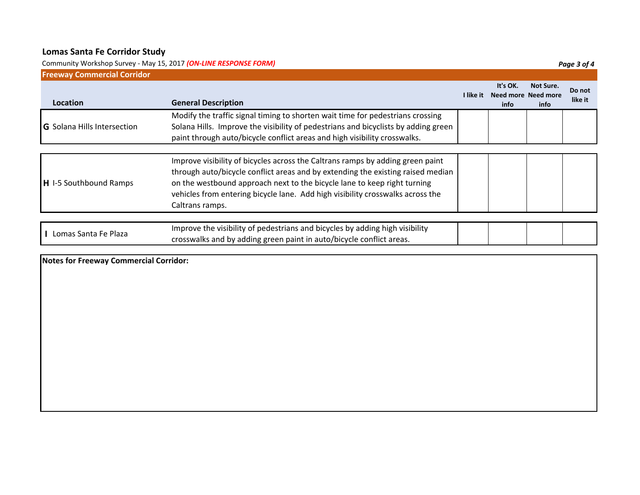Community Workshop Survey - May 15, 2017 *(ON-LINE RESPONSE FORM)* 

| <b>Freeway Commercial Corridor</b> |                                                                                                                                                                                                                                                                                                                                                    |           |                                         |                   |                   |  |  |
|------------------------------------|----------------------------------------------------------------------------------------------------------------------------------------------------------------------------------------------------------------------------------------------------------------------------------------------------------------------------------------------------|-----------|-----------------------------------------|-------------------|-------------------|--|--|
| Location                           | <b>General Description</b>                                                                                                                                                                                                                                                                                                                         | I like it | It's OK.<br>Need more Need more<br>info | Not Sure.<br>info | Do not<br>like it |  |  |
| <b>G</b> Solana Hills Intersection | Modify the traffic signal timing to shorten wait time for pedestrians crossing<br>Solana Hills. Improve the visibility of pedestrians and bicyclists by adding green<br>paint through auto/bicycle conflict areas and high visibility crosswalks.                                                                                                  |           |                                         |                   |                   |  |  |
| H I-5 Southbound Ramps             | Improve visibility of bicycles across the Caltrans ramps by adding green paint<br>through auto/bicycle conflict areas and by extending the existing raised median<br>on the westbound approach next to the bicycle lane to keep right turning<br>vehicles from entering bicycle lane. Add high visibility crosswalks across the<br>Caltrans ramps. |           |                                         |                   |                   |  |  |
| L Lomas Santa Fe Plaza             | Improve the visibility of pedestrians and bicycles by adding high visibility                                                                                                                                                                                                                                                                       |           |                                         |                   |                   |  |  |
|                                    | crosswalks and by adding green paint in auto/bicycle conflict areas.                                                                                                                                                                                                                                                                               |           |                                         |                   |                   |  |  |

**Notes for Freeway Commercial Corridor:**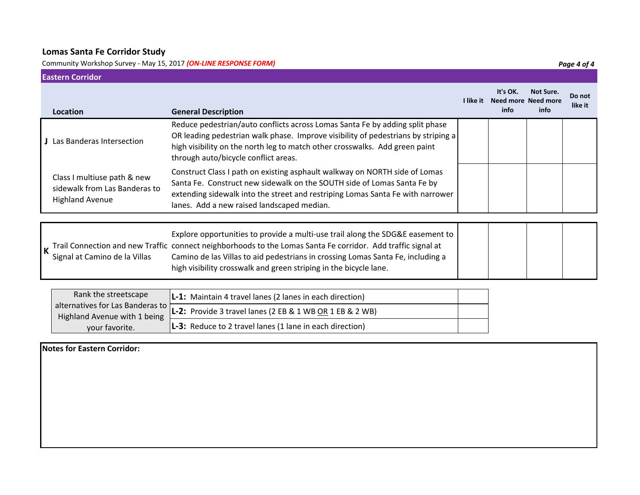**Eastern Corridor**

Community Workshop Survey ‐ May 15, 2017 *(ON‐LINE RESPONSE FORM) Page 4 of 4*

| Edstefil Colliuol                                                                      |                                                                                                                                                                                                                                                                                                                                                          |           |                                         |                   |                   |  |
|----------------------------------------------------------------------------------------|----------------------------------------------------------------------------------------------------------------------------------------------------------------------------------------------------------------------------------------------------------------------------------------------------------------------------------------------------------|-----------|-----------------------------------------|-------------------|-------------------|--|
| Location                                                                               | <b>General Description</b>                                                                                                                                                                                                                                                                                                                               | I like it | It's OK.<br>Need more Need more<br>info | Not Sure.<br>info | Do not<br>like it |  |
| <b>J</b> Las Banderas Intersection                                                     | Reduce pedestrian/auto conflicts across Lomas Santa Fe by adding split phase<br>OR leading pedestrian walk phase. Improve visibility of pedestrians by striping a<br>high visibility on the north leg to match other crosswalks. Add green paint<br>through auto/bicycle conflict areas.                                                                 |           |                                         |                   |                   |  |
| Class I multiuse path & new<br>sidewalk from Las Banderas to<br><b>Highland Avenue</b> | Construct Class I path on existing asphault walkway on NORTH side of Lomas<br>Santa Fe. Construct new sidewalk on the SOUTH side of Lomas Santa Fe by<br>extending sidewalk into the street and restriping Lomas Santa Fe with narrower<br>lanes. Add a new raised landscaped median.                                                                    |           |                                         |                   |                   |  |
|                                                                                        |                                                                                                                                                                                                                                                                                                                                                          |           |                                         |                   |                   |  |
| Signal at Camino de la Villas                                                          | Explore opportunities to provide a multi-use trail along the SDG&E easement to<br>K Trail Connection and new Traffic connect neighborhoods to the Lomas Santa Fe corridor. Add traffic signal at<br>Camino de las Villas to aid pedestrians in crossing Lomas Santa Fe, including a<br>high visibility crosswalk and green striping in the bicycle lane. |           |                                         |                   |                   |  |

| Rank the streetscape         | $\vert$ <b>L-1:</b> Maintain 4 travel lanes (2 lanes in each direction)                      |  |
|------------------------------|----------------------------------------------------------------------------------------------|--|
| Highland Avenue with 1 being | alternatives for Las Banderas to $L-2$ : Provide 3 travel lanes (2 EB & 1 WB OR 1 EB & 2 WB) |  |
| your favorite.               | <b>L-3:</b> Reduce to 2 travel lanes (1 lane in each direction)                              |  |

**Notes for Eastern Corridor:**